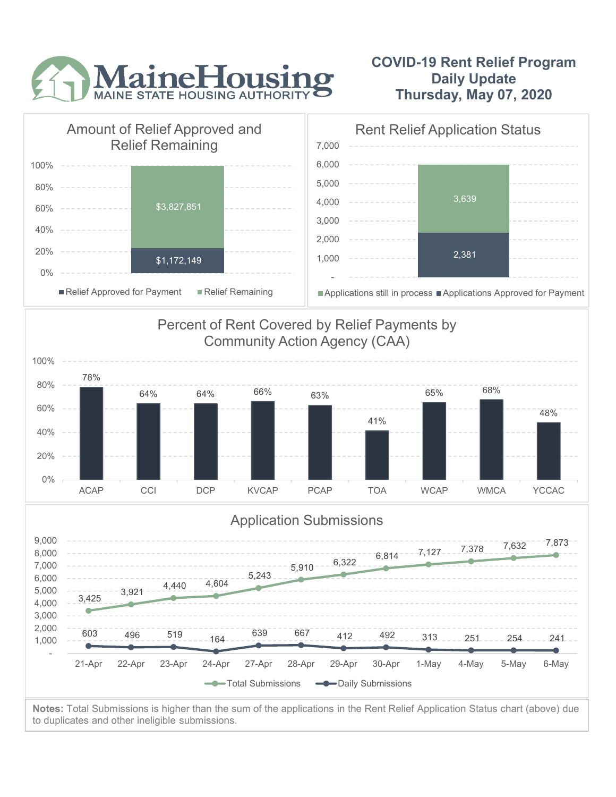

## **COVID-19 Rent Relief Program Daily Update Thursday, May 07, 2020**



to duplicates and other ineligible submissions.